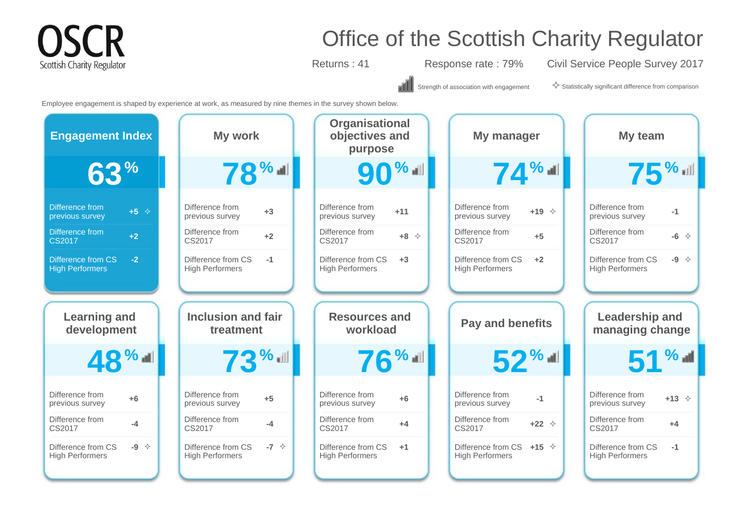### **CR** Scottish Charity Regulator

### Office of the Scottish Charity Regulator

Returns : 41 Response rate : 79% Civil Service People Survey 2017

۵N

Strength of association with engagement  $\diamondsuit$  Statistically significant difference from comparison

Employee engagement is shaped by experience at work, as measured by nine themes in the survey shown below.

| <b>Engagement Index</b>                           | My work                                              | Organisational<br>objectives and<br>purpose              | My manager                                           | My team                                                |
|---------------------------------------------------|------------------------------------------------------|----------------------------------------------------------|------------------------------------------------------|--------------------------------------------------------|
| 63 <sup>%</sup>                                   | <b>78%</b>                                           | <b>90%</b>                                               | 74%                                                  | <b>75%</b>                                             |
| Difference from                                   | Difference from                                      | Difference from                                          | Difference from                                      | Difference from                                        |
| $+5$ $\div$                                       | $+3$                                                 | $+11$                                                    | $+19$ $\diamond$                                     | $-1$                                                   |
| previous survey                                   | previous survey                                      | previous survey                                          | previous survey                                      | previous survey                                        |
| Difference from                                   | Difference from                                      | Difference from                                          | Difference from                                      | Difference from                                        |
| $+2$                                              | $+2$                                                 | $+8$ $\Diamond$                                          | $+5$                                                 | $-6$ $\diamond$                                        |
| <b>CS2017</b>                                     | CS2017                                               | CS2017                                                   | CS2017                                               | CS2017                                                 |
| Difference from CS                                | Difference from CS                                   | Difference from CS                                       | Difference from CS                                   | Difference from CS                                     |
| $-2$                                              | $-1$                                                 | $+3$                                                     | $+2$                                                 | $-9 \div$                                              |
| <b>High Performers</b>                            | <b>High Performers</b>                               | <b>High Performers</b>                                   | <b>High Performers</b>                               | <b>High Performers</b>                                 |
|                                                   |                                                      |                                                          |                                                      |                                                        |
| <b>Learning and</b>                               | <b>Inclusion and fair</b>                            | <b>Resources and</b>                                     | <b>Pay and benefits</b>                              | <b>Leadership and</b>                                  |
| development                                       | treatment                                            | workload                                                 |                                                      | managing change                                        |
|                                                   |                                                      |                                                          |                                                      | $51\%$                                                 |
| 48%<br>Difference from<br>$+6$<br>previous survey | $73$ %<br>Difference from<br>$+5$<br>previous survey | $76$ % all<br>Difference from<br>$+6$<br>previous survey | $52$ %<br>Difference from<br>$-1$<br>previous survey | Difference from<br>$+13$ $\Diamond$<br>previous survey |
| Difference from                                   | Difference from                                      | Difference from                                          | Difference from                                      | Difference from                                        |
| $-4$                                              | $-4$                                                 | $+4$                                                     | $+22$ $\diamond$                                     | $+4$                                                   |
| CS2017                                            | CS2017                                               | CS2017                                                   | CS2017                                               | CS2017                                                 |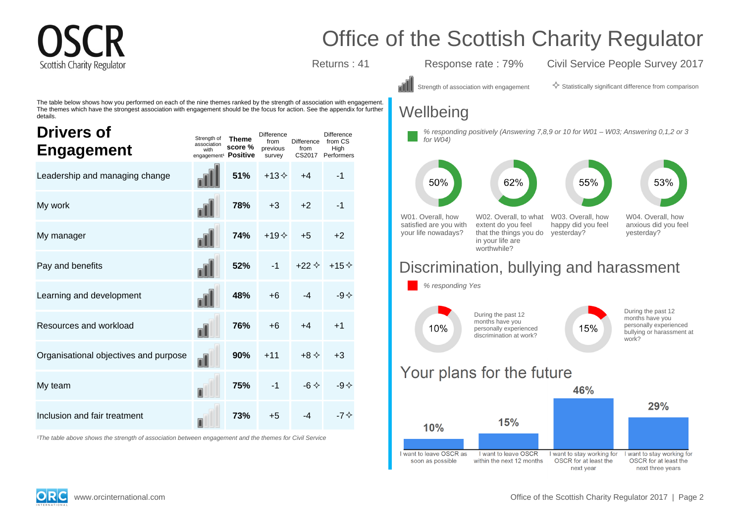# Scottish Charity Regulato

### Office of the Scottish Charity Regulator

Returns : 41 Response rate : 79% Civil Service People Survey 2017

The table below shows how you performed on each of the nine themes ranked by the strength of association with engagement. The themes which have the strongest association with engagement should be the focus for action. See the appendix for further details.

| <b>Drivers of</b><br><b>Engagement</b> | Strength of<br>association<br>with<br>engagement <sup>1</sup> Positive | <b>Theme</b><br>score % | <b>Difference</b><br>from<br>previous<br>survey | <b>Difference</b><br>from<br>CS2017 | Difference<br>from CS<br>High<br>Performers |
|----------------------------------------|------------------------------------------------------------------------|-------------------------|-------------------------------------------------|-------------------------------------|---------------------------------------------|
| Leadership and managing change         |                                                                        | 51%                     | $+13 \diamond$                                  | $+4$                                | $-1$                                        |
| My work                                |                                                                        | 78%                     | $+3$                                            | $+2$                                | $-1$                                        |
| My manager                             |                                                                        | 74%                     | $+19+$                                          | $+5$                                | $+2$                                        |
| Pay and benefits                       |                                                                        | 52%                     | $-1$                                            | $+22 \diamond$                      | $+15+$                                      |
| Learning and development               |                                                                        | 48%                     | $+6$                                            | $-4$                                | -9 $\diamond$                               |
| Resources and workload                 | n۱                                                                     | 76%                     | $+6$                                            | $+4$                                | $+1$                                        |
| Organisational objectives and purpose  | nl                                                                     | 90%                     | $+11$                                           | $+8 \diamond$                       | $+3$                                        |
| My team                                |                                                                        | 75%                     | $-1$                                            | $-6 \Leftrightarrow$                | -9 $\diamond$                               |
| Inclusion and fair treatment           |                                                                        | 73%                     | $+5$                                            | $-4$                                | $-70$                                       |

<sup>1</sup>The table above shows the strength of association between engagement and the themes for Civil Service

Strength of association with engagement  $\Diamond$  Statistically significant difference from comparison

### **Wellbeing**





### Discrimination, bullying and harassment



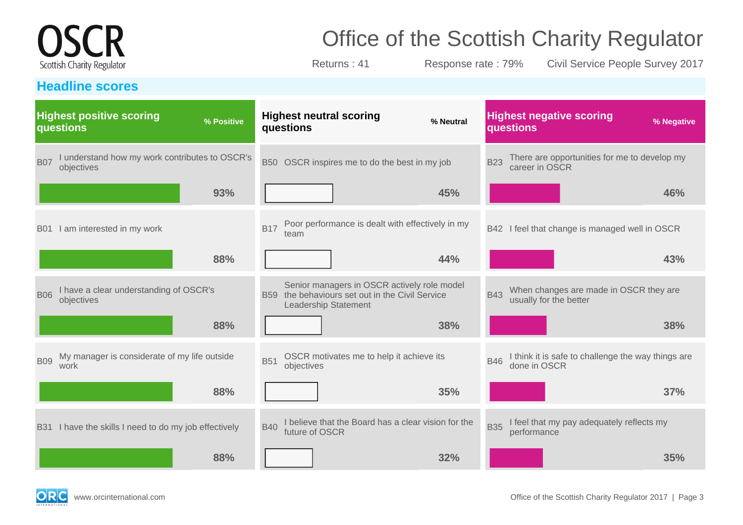# **OSCR** Scottish Charity Regulator

**Headline scores**

# Office of the Scottish Charity Regulator

Returns : 41 Response rate : 79% Civil Service People Survey 2017

|            | <b>Highest positive scoring</b><br>questions                 | % Positive |            | questions            | <b>Highest neutral scoring</b>                                                             | % Neutral                                           |            | <b>Highest negative scoring</b><br>questions                       | % Negative |
|------------|--------------------------------------------------------------|------------|------------|----------------------|--------------------------------------------------------------------------------------------|-----------------------------------------------------|------------|--------------------------------------------------------------------|------------|
| <b>B07</b> | I understand how my work contributes to OSCR's<br>objectives |            | <b>B50</b> |                      | OSCR inspires me to do the best in my job                                                  |                                                     | <b>B23</b> | There are opportunities for me to develop my<br>career in OSCR     |            |
|            |                                                              | 93%        |            |                      |                                                                                            | 45%                                                 |            |                                                                    | 46%        |
|            | B01 I am interested in my work                               |            | <b>B17</b> | team                 | Poor performance is dealt with effectively in my                                           |                                                     | <b>B42</b> | I feel that change is managed well in OSCR                         |            |
|            |                                                              | 88%        |            |                      |                                                                                            | 44%                                                 |            |                                                                    | 43%        |
| <b>B06</b> | I have a clear understanding of OSCR's<br>objectives         |            | <b>B59</b> | Leadership Statement | Senior managers in OSCR actively role model<br>the behaviours set out in the Civil Service |                                                     | <b>B43</b> | When changes are made in OSCR they are<br>usually for the better   |            |
|            |                                                              | 88%        |            |                      |                                                                                            | 38%                                                 |            |                                                                    | 38%        |
| <b>B09</b> | My manager is considerate of my life outside<br>work         |            | <b>B51</b> | objectives           | OSCR motivates me to help it achieve its                                                   |                                                     | <b>B46</b> | I think it is safe to challenge the way things are<br>done in OSCR |            |
|            |                                                              | 88%        |            |                      |                                                                                            | 35%                                                 |            |                                                                    | 37%        |
|            | B31 I have the skills I need to do my job effectively        |            | <b>B40</b> | future of OSCR       |                                                                                            | I believe that the Board has a clear vision for the | <b>B35</b> | I feel that my pay adequately reflects my<br>performance           |            |
|            |                                                              | 88%        |            |                      |                                                                                            | 32%                                                 |            |                                                                    | 35%        |

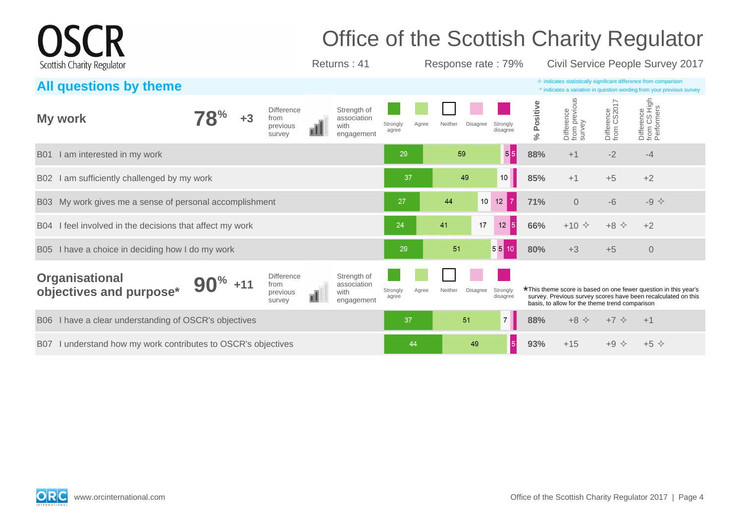|            | Scottish Charity Regulator                               |  |                                                 | Office of the Scottish Charity Regulator<br>Returns: 41 |                   |       | Response rate: 79% |                 |                                   |            |                                       |                           | Civil Service People Survey 2017                                                                                                                   |  |
|------------|----------------------------------------------------------|--|-------------------------------------------------|---------------------------------------------------------|-------------------|-------|--------------------|-----------------|-----------------------------------|------------|---------------------------------------|---------------------------|----------------------------------------------------------------------------------------------------------------------------------------------------|--|
|            | All questions by theme                                   |  |                                                 |                                                         |                   |       |                    |                 |                                   |            |                                       |                           | $\Diamond$ indicates statistically significant difference from comparison<br>^ indicates a variation in question wording from your previous survey |  |
|            | My work                                                  |  | <b>Difference</b><br>from<br>previous<br>survey | Strength of<br>association<br>with<br>engagement        | Strongly<br>agree | Agree | Neither            | Disagree        | Strongly<br>disagree              | % Positive | Difference<br>from previous<br>survey | Difference<br>from CS2017 | Difference<br>from CS High<br>Performers                                                                                                           |  |
| <b>B01</b> | I am interested in my work                               |  |                                                 |                                                         | 29                |       | 59                 |                 | 5 5                               | 88%        | $+1$                                  | $-2$                      | $-4$                                                                                                                                               |  |
| B02        | am sufficiently challenged by my work                    |  |                                                 |                                                         | 37                |       | 49                 |                 | $10$                              | 85%        | $+1$                                  | $+5$                      | $+2$                                                                                                                                               |  |
|            | B03 My work gives me a sense of personal accomplishment  |  |                                                 |                                                         | 27                |       | 44                 | 10 <sup>1</sup> | 7 <sup>1</sup><br>12 <sub>b</sub> | 71%        | $\mathsf{O}\xspace$                   | $-6$                      | $-9$ $\diamond$                                                                                                                                    |  |
|            | B04 I feel involved in the decisions that affect my work |  |                                                 |                                                         | 24                |       | 41                 | 17              | $\vert 5 \vert$<br>12             | 66%        | $+10 \div$                            | $+8$ $\Diamond$           | $+2$                                                                                                                                               |  |
| B05        | I have a choice in deciding how I do my work             |  |                                                 |                                                         | 29                |       | 51                 |                 | 55                                | 80%        | $+3$                                  | $+5$                      | $\overline{0}$                                                                                                                                     |  |

| <b>Organisational</b><br>objectives and purpose*              | 90 <sup>%</sup> | <b>Difference</b><br>from<br>previous<br>survey | Strength of<br>association<br>with<br>engagement | Strongly<br>agree | Agree | Neither | Disagree Strongly | disagree |     | basis, to allow for the theme trend comparison | *This theme score is based on one fewer question in this year's<br>survey. Previous survey scores have been recalculated on this |  |
|---------------------------------------------------------------|-----------------|-------------------------------------------------|--------------------------------------------------|-------------------|-------|---------|-------------------|----------|-----|------------------------------------------------|----------------------------------------------------------------------------------------------------------------------------------|--|
| B06 I have a clear understanding of OSCR's objectives         |                 |                                                 |                                                  | 37/               |       |         | 51                |          | 88% | $+8$ $\diamond$                                |                                                                                                                                  |  |
| B07 I understand how my work contributes to OSCR's objectives |                 |                                                 |                                                  |                   | 44    |         | 49                |          | 93% |                                                |                                                                                                                                  |  |

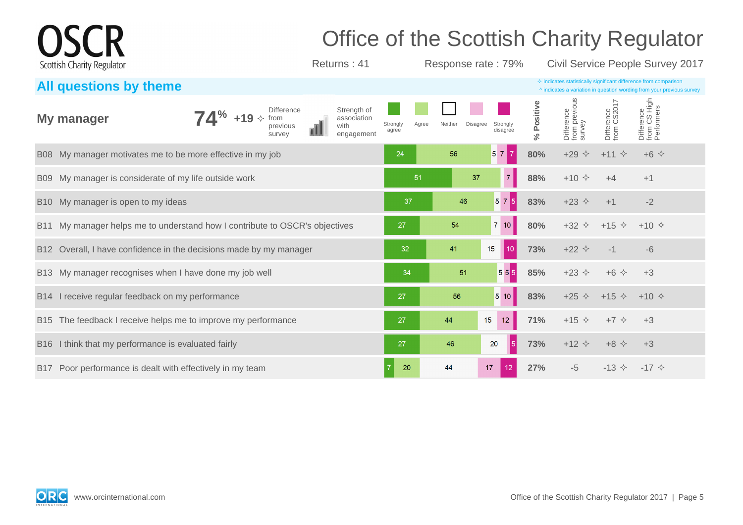| <b>OSCR</b>                |              | <b>Office of the Scottish Charity Regulator</b> |                                  |
|----------------------------|--------------|-------------------------------------------------|----------------------------------|
| Scottish Charity Regulator | Returns : 41 | Response rate: 79%                              | Civil Service People Survey 2017 |

| All questions by theme                                                                                                                        |                                                                           | $\Diamond$ indicates statistically significant difference from comparison<br>^ indicates a variation in question wording from your previous survey |
|-----------------------------------------------------------------------------------------------------------------------------------------------|---------------------------------------------------------------------------|----------------------------------------------------------------------------------------------------------------------------------------------------|
| Strength of<br><b>Difference</b><br>$74^{\%}$ +19 $\diamond$<br>My manager<br>from<br>association<br>with<br>previous<br>engagement<br>survey | Disagree<br>Strongly<br>Neither<br>Agree<br>Strongly<br>disagree<br>agree | Difference<br>from previous<br>survey<br>Difference<br>from CS High<br>Performers<br>Difference<br>from CS2017<br>Positive<br>$\%$                 |
| B08 My manager motivates me to be more effective in my job                                                                                    | $\overline{7}$<br>56<br>57<br>24                                          | 80%<br>$+29$<br>$\Leftrightarrow$<br>$+11$ $\diamond$<br>$+6$ $\Diamond$                                                                           |
| B09 My manager is considerate of my life outside work                                                                                         | 7 <sup>1</sup><br>51<br>37                                                | 88%<br>$+10 \div$<br>$+1$<br>$+4$                                                                                                                  |
| B10 My manager is open to my ideas                                                                                                            | 575<br>46<br>37                                                           | 83%<br>$+23$ $\Diamond$<br>$-2$<br>$+1$                                                                                                            |
| My manager helps me to understand how I contribute to OSCR's objectives<br><b>B11</b>                                                         | 54<br>$7 \vert 10 \vert$<br>27                                            | 80%<br>$+32 \div$<br>$+15$ $\diamond$<br>$+10 \diamond$                                                                                            |
| Overall, I have confidence in the decisions made by my manager<br>B <sub>12</sub>                                                             | 41<br>15<br>10 <sup>°</sup><br>32                                         | 73%<br>$+22$ $\diamond$<br>$-6$<br>$-1$                                                                                                            |
| B13 My manager recognises when I have done my job well                                                                                        | $555$<br>51<br>34                                                         | 85%<br>$+23$ $\Diamond$<br>$+6$ $\Diamond$<br>$+3$                                                                                                 |
| B14 I receive regular feedback on my performance                                                                                              | 510<br>27<br>56                                                           | 83%<br>$+25$ $\diamond$<br>$+15$ $\diamond$<br>$+10 \diamond$                                                                                      |
| B15 The feedback I receive helps me to improve my performance                                                                                 | 15<br>12<br>27<br>44                                                      | 71%<br>$+15$ $\Diamond$<br>$+7$ $\diamond$<br>$+3$                                                                                                 |
| B16 I think that my performance is evaluated fairly                                                                                           | $\vert 5 \vert$<br>27<br>46<br>20                                         | 73%<br>$+12$ $\diamond$<br>$+8$ $\Leftrightarrow$<br>$+3$                                                                                          |
| Poor performance is dealt with effectively in my team<br><b>B17</b>                                                                           | 17<br>20<br>44<br>12 <sup>°</sup>                                         | 27%<br>$-5$<br>$-13 \diamond$<br>$-17 \diamond$                                                                                                    |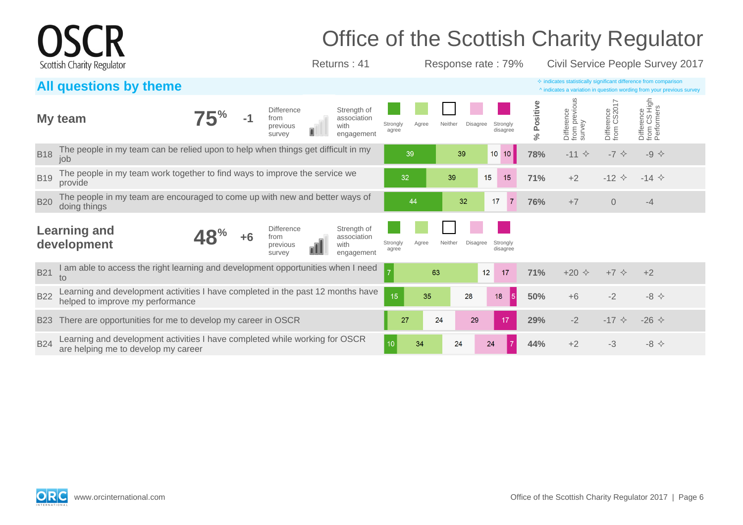|            | Scottish Charity Regulator                                                                                          |  |                                                 | Returns: 41                                      |                   |       |         | Response rate: 79%               |                      |                                       |                           | Office of the Scottish Charity Regulator<br>Civil Service People Survey 2017                                                                       |  |
|------------|---------------------------------------------------------------------------------------------------------------------|--|-------------------------------------------------|--------------------------------------------------|-------------------|-------|---------|----------------------------------|----------------------|---------------------------------------|---------------------------|----------------------------------------------------------------------------------------------------------------------------------------------------|--|
|            | All questions by theme                                                                                              |  |                                                 |                                                  |                   |       |         |                                  |                      |                                       |                           | $\diamond$ indicates statistically significant difference from comparison<br>^ indicates a variation in question wording from your previous survey |  |
|            | My team                                                                                                             |  | Difference<br>from<br>previous<br>survey        | Strength of<br>association<br>with<br>engagement | Strongly<br>agree | Agree | Neither | Disagree<br>Strongly<br>disagree | Positive<br>$\aleph$ | Difference<br>from previous<br>survey | Difference<br>from CS2017 | Difference<br>from CS High<br>Performers                                                                                                           |  |
| <b>B18</b> | The people in my team can be relied upon to help when things get difficult in my<br>job                             |  |                                                 |                                                  |                   | 39    | 39      | $10$ 10                          | 78%                  | $-11$ $\diamond$                      | $-7$ $\diamond$           | $-9 \Leftrightarrow$                                                                                                                               |  |
| <b>B19</b> | The people in my team work together to find ways to improve the service we<br>provide                               |  |                                                 |                                                  | 32                |       | 39      | 15<br>15                         | 71%                  | $+2$                                  | $-12$ $\triangle$         | $-14$ $\diamond$                                                                                                                                   |  |
| <b>B20</b> | The people in my team are encouraged to come up with new and better ways of<br>doing things                         |  |                                                 |                                                  |                   | 44    | 32      | 17<br>$\overline{7}$             | <b>76%</b>           | $+7$                                  | $\Omega$                  | $-4$                                                                                                                                               |  |
|            | <b>Learning and</b><br>development                                                                                  |  | <b>Difference</b><br>from<br>previous<br>survey | Strength of<br>association<br>with<br>engagement | Strongly<br>agree | Agree | Neither | Disagree<br>Strongly<br>disagree |                      |                                       |                           |                                                                                                                                                    |  |
| <b>B21</b> | I am able to access the right learning and development opportunities when I need<br>to                              |  |                                                 |                                                  |                   | 63    |         | 12<br>17                         | 71%                  | $+20$ $\Diamond$                      | $+7$ $\Diamond$           | $+2$                                                                                                                                               |  |
| <b>B22</b> | Learning and development activities I have completed in the past 12 months have<br>helped to improve my performance |  |                                                 |                                                  | 15 <sub>15</sub>  | 35    | 28      | 5<br>$18$                        | 50%                  | $+6$                                  | $-2$                      | $-8$ $\Leftrightarrow$                                                                                                                             |  |
| <b>B23</b> | There are opportunities for me to develop my career in OSCR                                                         |  |                                                 |                                                  | 27                |       | 24      | 29<br>17                         | 29%                  | $-2$                                  | $-17$ $\diamond$          | $-26 \diamond$                                                                                                                                     |  |
| <b>B24</b> | Learning and development activities I have completed while working for OSCR<br>are helping me to develop my career  |  |                                                 |                                                  | 10 <sup>°</sup>   | 34    | 24      | 24                               | 44%                  | $+2$                                  | $-3$                      | $-8$ $\leftrightarrow$                                                                                                                             |  |

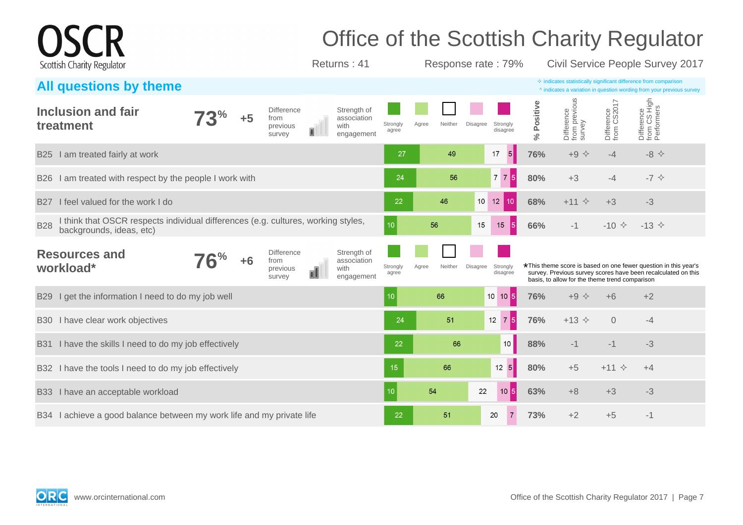|                                                                                                                           |          |      |                                                 | Office of the Scottish Charity Regulator         |                   |       |         |                 |                       |            |                                                |                           |                                                                                                                                                    |  |
|---------------------------------------------------------------------------------------------------------------------------|----------|------|-------------------------------------------------|--------------------------------------------------|-------------------|-------|---------|-----------------|-----------------------|------------|------------------------------------------------|---------------------------|----------------------------------------------------------------------------------------------------------------------------------------------------|--|
| Scottish Charity Regulator                                                                                                |          |      |                                                 | Returns: 41                                      |                   |       |         |                 | Response rate: 79%    |            |                                                |                           | Civil Service People Survey 2017                                                                                                                   |  |
| All questions by theme                                                                                                    |          |      |                                                 |                                                  |                   |       |         |                 |                       |            |                                                |                           | $\Diamond$ indicates statistically significant difference from comparison<br>^ indicates a variation in question wording from your previous survey |  |
| Inclusion and fair<br>treatment                                                                                           | $3^{\%}$ | $+5$ | <b>Difference</b><br>from<br>previous<br>survey | Strength of<br>association<br>with<br>engagement | Strongly<br>agree | Agree | Neither | <b>Disagree</b> | Strongly<br>disagree  | % Positive | Difference<br>from previous<br>survey          | Difference<br>from CS2017 | Difference<br>from CS High<br>Performers                                                                                                           |  |
| I am treated fairly at work<br><b>B25</b>                                                                                 |          |      |                                                 |                                                  | 27                |       | 49      |                 | $5\phantom{1}$<br>17  | 76%        | $+9$ $\diamond$                                | $-4$                      | $-8$ $\leftrightarrow$                                                                                                                             |  |
| I am treated with respect by the people I work with<br>B26                                                                |          |      |                                                 |                                                  | 24                |       | 56      |                 | $7 \overline{7}$ 5    | 80%        | $+3$                                           | $-4$                      | $-7$ $\diamond$                                                                                                                                    |  |
| I feel valued for the work I do<br><b>B27</b>                                                                             |          |      |                                                 |                                                  | 22                |       | 46      | $10$ 12         | 10                    | 68%        | $+11$ $\diamond$                               | $+3$                      | $-3$                                                                                                                                               |  |
| think that OSCR respects individual differences (e.g. cultures, working styles,<br><b>B28</b><br>backgrounds, ideas, etc) |          |      |                                                 |                                                  | 10                | 56    |         | 15              | $\vert 5 \vert$<br>15 | 66%        | $-1$                                           | $-10 \div$                | $-13$ $\diamond$                                                                                                                                   |  |
| <b>Resources and</b><br>workload*                                                                                         | $6\%$    | $+6$ | <b>Difference</b><br>from<br>previous<br>survey | Strength of<br>association<br>with<br>engagement | Strongly<br>agree | Agree | Neither | Disagree        | Strongly<br>disagree  |            | basis, to allow for the theme trend comparison |                           | *This theme score is based on one fewer question in this year's<br>survey. Previous survey scores have been recalculated on this                   |  |
| I get the information I need to do my job well<br><b>B29</b>                                                              |          |      |                                                 |                                                  | 10                |       | 66      |                 | 10 10 5               | 76%        | $+9$ $\diamond$                                | $+6$                      | $+2$                                                                                                                                               |  |
| I have clear work objectives<br><b>B30</b>                                                                                |          |      |                                                 |                                                  | 24                |       | 51      |                 | $12 \quad 7 \quad 5$  | 76%        | $+13$ $\Diamond$                               | $\overline{0}$            | $-4$                                                                                                                                               |  |
| I have the skills I need to do my job effectively<br><b>B31</b>                                                           |          |      |                                                 |                                                  | 22                |       | 66      |                 | 10 <sup>°</sup>       | 88%        | $-1$                                           | $-1$                      | $-3$                                                                                                                                               |  |
| B32 I have the tools I need to do my job effectively                                                                      |          |      |                                                 |                                                  | 15                |       | 66      |                 | 12 5                  | 80%        | $+5$                                           | $+11$ $\diamond$          | $+4$                                                                                                                                               |  |
| I have an acceptable workload<br><b>B33</b>                                                                               |          |      |                                                 |                                                  | 10                | 54    |         | 22              | $10\overline{5}$      | 63%        | $+8$                                           | $+3$                      | $-3$                                                                                                                                               |  |
| B34 I achieve a good balance between my work life and my private life                                                     |          |      |                                                 |                                                  | 22                |       | 51      |                 | 20<br>$\overline{7}$  | 73%        | $+2$                                           | $+5$                      | $-1$                                                                                                                                               |  |

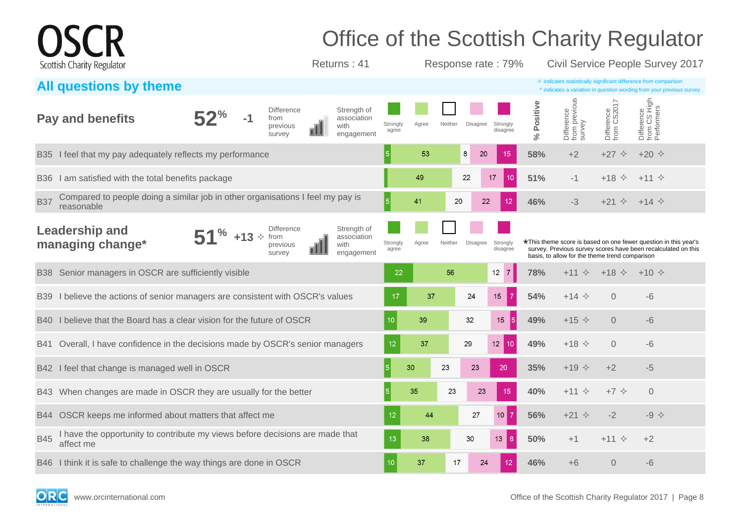|             |                                                                                              |             |                                                       | Office of the Scottish Charity Regulator         |                   |       |         |                 |                                   |                |                                                |                            |                                                                                                                                                    |  |
|-------------|----------------------------------------------------------------------------------------------|-------------|-------------------------------------------------------|--------------------------------------------------|-------------------|-------|---------|-----------------|-----------------------------------|----------------|------------------------------------------------|----------------------------|----------------------------------------------------------------------------------------------------------------------------------------------------|--|
|             | Scottish Charity Regulator                                                                   |             |                                                       | Returns: 41                                      |                   |       |         |                 | Response rate: 79%                |                |                                                |                            | Civil Service People Survey 2017                                                                                                                   |  |
|             | <b>All questions by theme</b>                                                                |             |                                                       |                                                  |                   |       |         |                 |                                   |                |                                                |                            | $\diamond$ indicates statistically significant difference from comparison<br>^ indicates a variation in question wording from your previous survey |  |
|             | <b>Pay and benefits</b>                                                                      |             | <b>Difference</b><br>-1<br>from<br>previous<br>survey | Strength of<br>association<br>with<br>engagement | Strongly<br>agree | Agree | Neither | <b>Disagree</b> | Strongly<br>disagree              | Positive<br>ಸ್ | Difference<br>from previous<br>survey          | Difference<br>from CS2017  | Difference<br>from CS High<br>Performers                                                                                                           |  |
| <b>B</b> 35 | I feel that my pay adequately reflects my performance                                        |             |                                                       |                                                  | 5 <sup>1</sup>    | 53    | 8       | 20              | 15                                | 58%            | $+2$                                           | $+27$<br>$\Leftrightarrow$ | $+20 \diamond$                                                                                                                                     |  |
| B36         | I am satisfied with the total benefits package                                               |             |                                                       |                                                  |                   | 49    |         | 22              | 17<br>10                          | 51%            | $-1$                                           | $\Leftrightarrow$<br>$+18$ | $+11$ $\diamond$                                                                                                                                   |  |
| <b>B37</b>  | Compared to people doing a similar job in other organisations I feel my pay is<br>reasonable |             |                                                       |                                                  | 5                 | 41    | 20      | 22              | 12 <sup>2</sup>                   | 46%            | $-3$                                           | $+21$ $\diamond$           | $+14$ $\Diamond$                                                                                                                                   |  |
|             | <b>Leadership and</b><br>managing change*                                                    | 70<br>$+13$ | <b>Difference</b><br>previous<br>survey               | Strength of<br>association<br>with<br>engagement | Strongly<br>agree | Agree | Neither | Disagree        | Strongly<br>disagree              |                | basis, to allow for the theme trend comparison |                            | *This theme score is based on one fewer question in this year's<br>survey. Previous survey scores have been recalculated on this                   |  |
| B38         | Senior managers in OSCR are sufficiently visible                                             |             |                                                       |                                                  | 22                |       | 56      |                 | 12 <sup>°</sup><br>$\overline{7}$ | 78%            | $+11$ $\diamond$                               | $+18$ $\diamond$           | $+10 \diamond$                                                                                                                                     |  |
| B39         | I believe the actions of senior managers are consistent with OSCR's values                   |             |                                                       |                                                  | 17                | 37    |         | 24              | 15<br>-7                          | 54%            | $+14$ $\Diamond$                               | $\Omega$                   | $-6$                                                                                                                                               |  |
| <b>B40</b>  | I believe that the Board has a clear vision for the future of OSCR                           |             |                                                       |                                                  | 10                | 39    |         | 32              | 15 <sub>1</sub>                   | 49%            | $+15$ $\diamond$                               | $\Omega$                   | $-6$                                                                                                                                               |  |
| B41         | Overall, I have confidence in the decisions made by OSCR's senior managers                   |             |                                                       |                                                  | 12                | 37    |         | 29              | 12 <sup>°</sup><br>10             | 49%            | $+18$ $\diamond$                               | $\Omega$                   | $-6$                                                                                                                                               |  |
| B42         | I feel that change is managed well in OSCR                                                   |             |                                                       |                                                  | 5 <sup>1</sup>    | 30    | 23      | 23              | 20                                | 35%            | $+19$ $\Diamond$                               | $+2$                       | $-5$                                                                                                                                               |  |
| B43         | When changes are made in OSCR they are usually for the better                                |             |                                                       |                                                  | 5 <sup>1</sup>    | 35    | 23      | 23              | 15                                | 40%            | $+11$ $\diamond$                               | $+7$ $\Diamond$            | $\overline{0}$                                                                                                                                     |  |
| B44         | OSCR keeps me informed about matters that affect me                                          |             |                                                       |                                                  | 12                | 44    |         | 27              | $10$ 7                            | 56%            | $+21$ $\Diamond$                               | $-2$                       | $-9$ $\diamond$                                                                                                                                    |  |
| <b>B45</b>  | I have the opportunity to contribute my views before decisions are made that<br>affect me    |             |                                                       |                                                  | 13                | 38    |         | 30              | 13<br>8                           | 50%            | $+1$                                           | $+11 \diamond$             | $+2$                                                                                                                                               |  |
|             | B46 I think it is safe to challenge the way things are done in OSCR                          |             |                                                       |                                                  | 10                | 37    | 17      | 24              |                                   | 46%            | $+6$                                           | $\overline{0}$             | -6                                                                                                                                                 |  |

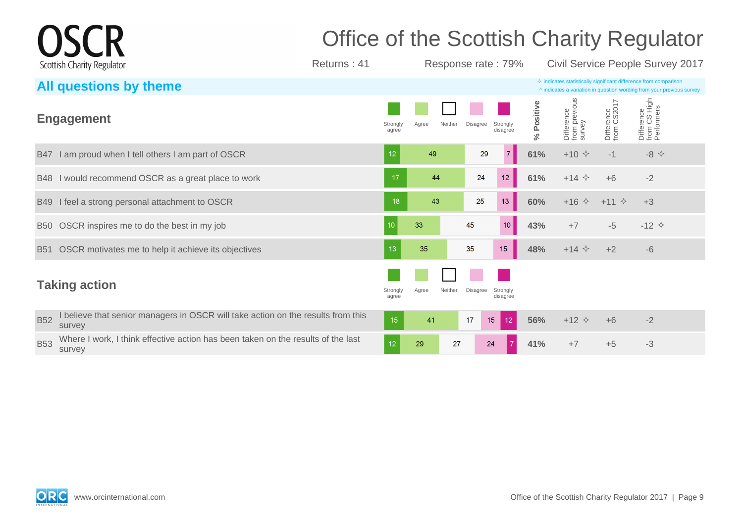## Office of the Scottish Charity Regulator

Returns : 41 Response rate : 79% Civil Service People Survey 2017

| All questions by theme                                                                                   |                   |                  |                                  |            |                                       |                           | $\diamond$ indicates statistically significant difference from comparison<br>^ indicates a variation in question wording from your previous survey |
|----------------------------------------------------------------------------------------------------------|-------------------|------------------|----------------------------------|------------|---------------------------------------|---------------------------|----------------------------------------------------------------------------------------------------------------------------------------------------|
| <b>Engagement</b>                                                                                        | Strongly<br>agree | Neither<br>Agree | Strongly<br>Disagree<br>disagree | % Positive | Difference<br>from previous<br>survey | Difference<br>from CS2017 | Difference<br>from CS High<br>Performers                                                                                                           |
| B47 I am proud when I tell others I am part of OSCR                                                      | 12                | 49               | 29<br>7                          | 61%        | $+10 \div$                            | $-1$                      | $-8$ $\leftrightarrow$                                                                                                                             |
| B48 I would recommend OSCR as a great place to work                                                      | 17                | 44               | 12<br>24                         | 61%        | $+14$ $\diamond$                      | $+6$                      | $-2$                                                                                                                                               |
| B49 I feel a strong personal attachment to OSCR                                                          | 18                | 43               | 25<br>13                         | 60%        | $+16$ $\diamond$                      | $+11$ $\diamond$          | $+3$                                                                                                                                               |
| B50 OSCR inspires me to do the best in my job                                                            | 10 <sup>10</sup>  | 33               | 10 <sub>1</sub><br>45            | 43%        | $+7$                                  | $-5$                      | $-12 \div$                                                                                                                                         |
| B51 OSCR motivates me to help it achieve its objectives                                                  | 13                | 35               | 15<br>35                         | 48%        | $+14$ $\diamond$                      | $+2$                      | $-6$                                                                                                                                               |
| <b>Taking action</b>                                                                                     | Strongly<br>agree | Agree<br>Neither | Disagree<br>Strongly<br>disagree |            |                                       |                           |                                                                                                                                                    |
| believe that senior managers in OSCR will take action on the results from this<br><b>B52</b><br>survey   | 15                | 41               | 17<br>12<br>15                   | 56%        | $+12$ $\Diamond$                      | $+6$                      | $-2$                                                                                                                                               |
| Where I work, I think effective action has been taken on the results of the last<br><b>B53</b><br>survey | 12                | 29<br>27         | 24                               | 41%        | $+7$                                  | $+5$                      | $-3$                                                                                                                                               |



**CR** 

Scottish Charity Regulator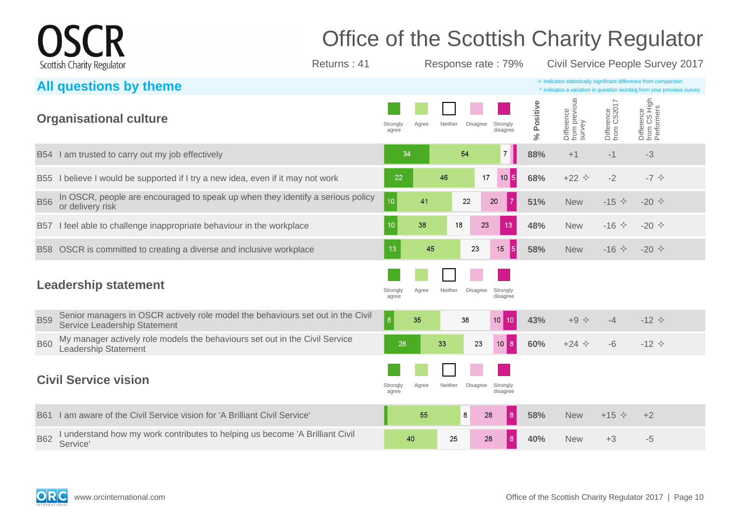## Office of the Scottish Charity Regulator

Returns : 41 Response rate : 79% Civil Service People Survey 2017

|                 | All questions by theme                                                                                          |                   |       |         |                 |                      |                      |                                       |                           | $\Diamond$ indicates statistically significant difference from comparison<br>^ indicates a variation in question wording from your previous survey |
|-----------------|-----------------------------------------------------------------------------------------------------------------|-------------------|-------|---------|-----------------|----------------------|----------------------|---------------------------------------|---------------------------|----------------------------------------------------------------------------------------------------------------------------------------------------|
|                 | <b>Organisational culture</b>                                                                                   | Strongly<br>agree | Agree | Neither | <b>Disagree</b> | Strongly<br>disagree | Positive<br>$\aleph$ | Difference<br>from previous<br>survey | Difference<br>from CS2017 | Difference<br>from CS High<br>Performers                                                                                                           |
|                 | B54 I am trusted to carry out my job effectively                                                                | 34                |       |         | 54              | 7 <sup>1</sup>       | 88%                  | $+1$                                  | $-1$                      | $-3$                                                                                                                                               |
| <b>B55</b>      | believe I would be supported if I try a new idea, even if it may not work                                       | 22                |       | 46      | 17              | $10\vert 5 \vert$    | 68%                  | $+22$ $\diamond$                      | $-2$                      | $-7$ $\diamondsuit$                                                                                                                                |
| <b>B56</b>      | In OSCR, people are encouraged to speak up when they identify a serious policy<br>or delivery risk              | 10 <sup>°</sup>   | 41    |         | 22              | $\overline{7}$<br>20 | 51%                  | <b>New</b>                            | $-15 \diamond$            | $-20 \diamond$                                                                                                                                     |
| B <sub>57</sub> | I feel able to challenge inappropriate behaviour in the workplace                                               | 10                | 38    | 18      | 23              | 13                   | 48%                  | <b>New</b>                            | $-16$ $\Diamond$          | $-20 \diamond$                                                                                                                                     |
|                 | B58 OSCR is committed to creating a diverse and inclusive workplace                                             | 13                | 45    |         | 23              | $15\,$<br><b>5</b>   | 58%                  | <b>New</b>                            | $-16 \div$                | $-20 \diamond$                                                                                                                                     |
|                 | <b>Leadership statement</b>                                                                                     | Strongly<br>agree | Agree | Neither | <b>Disagree</b> | Strongly<br>disagree |                      |                                       |                           |                                                                                                                                                    |
| <b>B59</b>      | Senior managers in OSCR actively role model the behaviours set out in the Civil<br>Service Leadership Statement | 8 <sup>°</sup>    | 35    |         | 38              | 10<br>10             | 43%                  | $+9$ $\diamondsuit$                   | $-4$                      | $-12 \div$                                                                                                                                         |
| <b>B60</b>      | My manager actively role models the behaviours set out in the Civil Service<br><b>Leadership Statement</b>      | 28                |       | 33      | 23              | 8<br>10 <sup>°</sup> | 60%                  | $+24$ $\Diamond$                      | $-6$                      | $-12 \div$                                                                                                                                         |
|                 | <b>Civil Service vision</b>                                                                                     | Strongly<br>agree | Agree | Neither | Disagree        | Strongly<br>disagree |                      |                                       |                           |                                                                                                                                                    |
| <b>B61</b>      | am aware of the Civil Service vision for 'A Brilliant Civil Service'                                            |                   | 55    |         | 8<br>28         | 8 <sup>°</sup>       | 58%                  | <b>New</b>                            | $+15$ $\Diamond$          | $+2$                                                                                                                                               |
| <b>B62</b>      | understand how my work contributes to helping us become 'A Brilliant Civil<br>Service'                          |                   | 40    | 25      | 28              | 8                    | 40%                  | <b>New</b>                            | $+3$                      | $-5$                                                                                                                                               |



**CR** 

Scottish Charity Regulator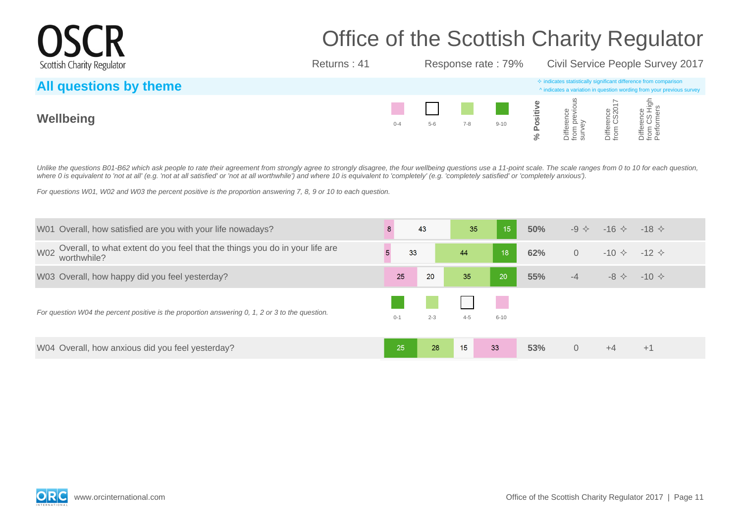# Office of the Scottish Charity Regulator

Returns : 41 Response rate : 79% Civil Service People Survey 2017

| All questions by theme |         |       |         |          |    |      | $\Diamond$ indicates statistically significant difference from comparison<br>A indicates a variation in question wording from your previous survey |
|------------------------|---------|-------|---------|----------|----|------|----------------------------------------------------------------------------------------------------------------------------------------------------|
| Wellbeing              | $0 - 4$ | $5-6$ | $7 - 8$ | $9 - 10$ | _≒ | omo. | $\frac{1}{9}$ $\frac{1}{2}$ $\frac{1}{9}$<br>ong<br>CS<br>om offer<br>Om offer                                                                     |

Unlike the questions B01-B62 which ask people to rate their agreement from strongly agree to strongly disagree, the four wellbeing questions use a 11-point scale. The scale ranges from 0 to 10 for each question, where 0 is equivalent to 'not at all' (e.g. 'not at all satisfied' or 'not at all worthwhile') and where 10 is equivalent to 'completely' (e.g. 'completely satisfied' or 'completely anxious').

For questions W01, W02 and W03 the percent positive is the proportion answering 7, 8, 9 or 10 to each question.

| W01 Overall, how satisfied are you with your life nowadays?                                              | 8       | 43      | 35      | 15              | 50% | $-9 \diamondsuit$ | $-16 \diamond $ $-18 \diamond$ |                |
|----------------------------------------------------------------------------------------------------------|---------|---------|---------|-----------------|-----|-------------------|--------------------------------|----------------|
| Overall, to what extent do you feel that the things you do in your life are<br><b>W02</b><br>worthwhile? | 33      |         | 44      | $\overline{18}$ | 62% | $\overline{0}$    | $-10 \diamond 12 \diamond 1$   |                |
| W03 Overall, how happy did you feel yesterday?                                                           | 25      | 20      | 35      | 20              | 55% | $-4$              | $-8 \diamondsuit$              | $-10 \diamond$ |
| For question W04 the percent positive is the proportion answering 0, 1, 2 or 3 to the question.          | $0 - 1$ | $2 - 3$ | $4 - 5$ | $6 - 10$        |     |                   |                                |                |
| W04 Overall, how anxious did you feel yesterday?                                                         | 25      | 28      | 15      | 33              | 53% | $\Omega$          | $+4$                           | $+1$           |



**OSCR** 

Scottish Charity Regulator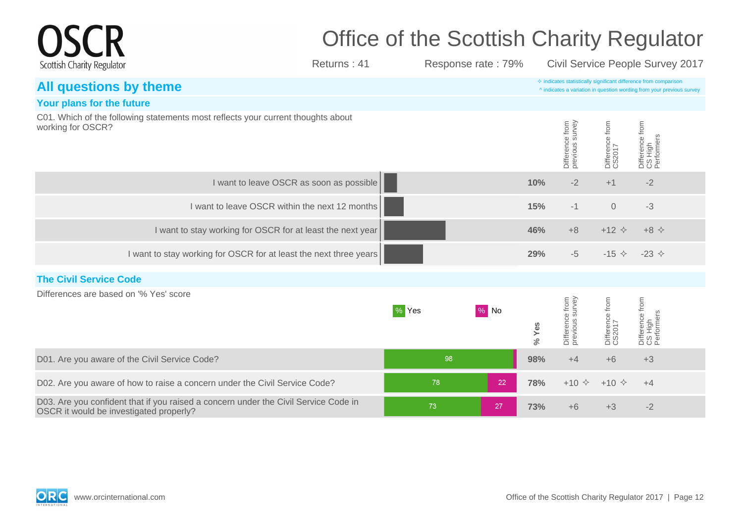|                                                                                                                                |                                          | Office of the Scottish Charity Regulator |                    |       |                                    |                           |                                                                                                                                                    |  |
|--------------------------------------------------------------------------------------------------------------------------------|------------------------------------------|------------------------------------------|--------------------|-------|------------------------------------|---------------------------|----------------------------------------------------------------------------------------------------------------------------------------------------|--|
| Scottish Charity Regulator                                                                                                     | Returns: 41                              |                                          | Response rate: 79% |       |                                    |                           | Civil Service People Survey 2017                                                                                                                   |  |
| All questions by theme                                                                                                         |                                          |                                          |                    |       |                                    |                           | $\diamond$ indicates statistically significant difference from comparison<br>^ indicates a variation in question wording from your previous survey |  |
| Your plans for the future                                                                                                      |                                          |                                          |                    |       |                                    |                           |                                                                                                                                                    |  |
| C01. Which of the following statements most reflects your current thoughts about<br>working for OSCR?                          |                                          |                                          |                    |       | Difference from<br>previous survey | Difference from<br>CS2017 | Difference from<br>CS High<br>Performers                                                                                                           |  |
|                                                                                                                                | I want to leave OSCR as soon as possible |                                          |                    | 10%   | $-2$                               | $+1$                      | $-2$                                                                                                                                               |  |
| I want to leave OSCR within the next 12 months                                                                                 |                                          |                                          |                    | 15%   | $-1$                               | $\overline{O}$            | $-3$                                                                                                                                               |  |
| I want to stay working for OSCR for at least the next year                                                                     |                                          |                                          |                    | 46%   | $+8$                               | $+12$ $\Diamond$          | $+8$ $\Leftrightarrow$                                                                                                                             |  |
| I want to stay working for OSCR for at least the next three years                                                              |                                          |                                          |                    | 29%   | $-5$                               | $-15 \diamond$            | -23 $\Diamond$                                                                                                                                     |  |
| <b>The Civil Service Code</b>                                                                                                  |                                          |                                          |                    |       |                                    |                           |                                                                                                                                                    |  |
| Differences are based on '% Yes' score                                                                                         |                                          | % Yes                                    | $%$ No             | % Yes | Difference from<br>previous survey | Difference from<br>CS2017 | Difference from<br>CS High<br>Performers                                                                                                           |  |
| D01. Are you aware of the Civil Service Code?                                                                                  |                                          | 98                                       |                    | 98%   | $+4$                               | $+6$                      | $+3$                                                                                                                                               |  |
| D02. Are you aware of how to raise a concern under the Civil Service Code?                                                     |                                          | 78                                       | 22                 | 78%   | $+10 \div$                         | $+10 \div$                | $+4$                                                                                                                                               |  |
| D03. Are you confident that if you raised a concern under the Civil Service Code in<br>OSCR it would be investigated properly? |                                          | 73                                       | 27                 | 73%   | $+6$                               | $+3$                      | $-2$                                                                                                                                               |  |

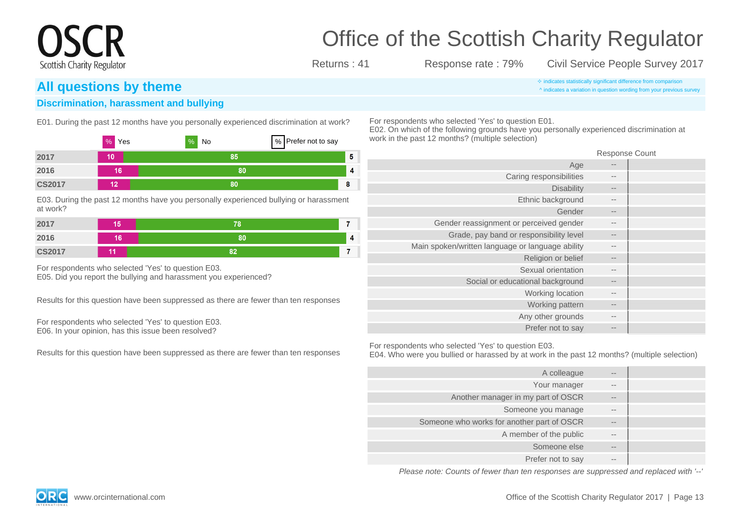### **All questions by theme indicates avariation** in question wording from vour previous

Scottish Charity Regulator

#### **Discrimination, harassment and bullying**

E01. During the past 12 months have you personally experienced discrimination at work?

|               | $%$ Yes | %<br>No | % Prefer not to say |
|---------------|---------|---------|---------------------|
| 2017          | 10      | 85      | -5                  |
| 2016          | 16      | 80      | $\overline{4}$      |
| <b>CS2017</b> | 12      | 80      | 8                   |

E03. During the past 12 months have you personally experienced bullying or harassment at work?

| 2017          | . .<br>ı٥ | 78 |   |
|---------------|-----------|----|---|
| 2016          | 16        | 80 | 4 |
| <b>CS2017</b> | 44        | 82 |   |

For respondents who selected 'Yes' to question E03. E05. Did you report the bullying and harassment you experienced?

Results for this question have been suppressed as there are fewer than ten responses

For respondents who selected 'Yes' to question E03. E06. In your opinion, has this issue been resolved?

Results for this question have been suppressed as there are fewer than ten responses

### Office of the Scottish Charity Regulator

Returns : 41 Response rate : 79% Civil Service People Survey 2017

^ indicates a variation in question wording from your previous survey

For respondents who selected 'Yes' to question E01.

E02. On which of the following grounds have you personally experienced discrimination at work in the past 12 months? (multiple selection)

Response Count

|       | Age                                              |
|-------|--------------------------------------------------|
| --    | Caring responsibilities                          |
| $- -$ | <b>Disability</b>                                |
| $- -$ | Ethnic background                                |
| $- -$ | Gender                                           |
| $- -$ | Gender reassignment or perceived gender          |
| $- -$ | Grade, pay band or responsibility level          |
| $- -$ | Main spoken/written language or language ability |
| $- -$ | Religion or belief                               |
| $- -$ | Sexual orientation                               |
| $- -$ | Social or educational background                 |
| $- -$ | Working location                                 |
| $- -$ | Working pattern                                  |
| $- -$ | Any other grounds                                |
| $- -$ | Prefer not to say                                |

For respondents who selected 'Yes' to question E03.

E04. Who were you bullied or harassed by at work in the past 12 months? (multiple selection)

| $\qquad \qquad -$ | A colleague                                |
|-------------------|--------------------------------------------|
| $- -$             | Your manager                               |
| $\qquad \qquad -$ | Another manager in my part of OSCR         |
| $- -$             | Someone you manage                         |
| $\qquad \qquad -$ | Someone who works for another part of OSCR |
| $- -$             | A member of the public                     |
| $\qquad \qquad -$ | Someone else                               |
| $- -$             | Prefer not to say                          |

Please note: Counts of fewer than ten responses are suppressed and replaced with '--'



www.orcinternational.com **Office of the Scottish Charity Regulator 2017** | Page 13